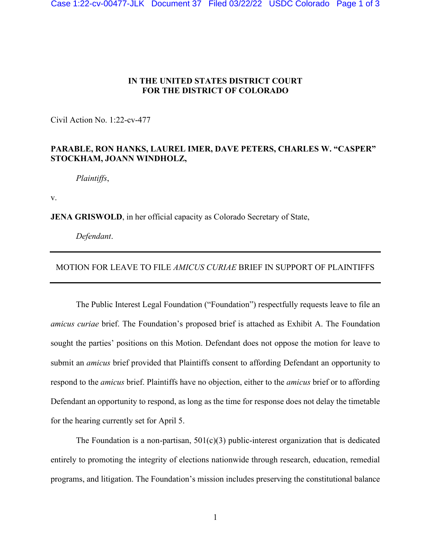## **IN THE UNITED STATES DISTRICT COURT FOR THE DISTRICT OF COLORADO**

Civil Action No. 1:22-cv-477

## **PARABLE, RON HANKS, LAUREL IMER, DAVE PETERS, CHARLES W. "CASPER" STOCKHAM, JOANN WINDHOLZ,**

*Plaintiffs*,

v.

**JENA GRISWOLD**, in her official capacity as Colorado Secretary of State,

*Defendant*.

## MOTION FOR LEAVE TO FILE *AMICUS CURIAE* BRIEF IN SUPPORT OF PLAINTIFFS

The Public Interest Legal Foundation ("Foundation") respectfully requests leave to file an *amicus curiae* brief. The Foundation's proposed brief is attached as Exhibit A. The Foundation sought the parties' positions on this Motion. Defendant does not oppose the motion for leave to submit an *amicus* brief provided that Plaintiffs consent to affording Defendant an opportunity to respond to the *amicus* brief. Plaintiffs have no objection, either to the *amicus* brief or to affording Defendant an opportunity to respond, as long as the time for response does not delay the timetable for the hearing currently set for April 5.

The Foundation is a non-partisan,  $501(c)(3)$  public-interest organization that is dedicated entirely to promoting the integrity of elections nationwide through research, education, remedial programs, and litigation. The Foundation's mission includes preserving the constitutional balance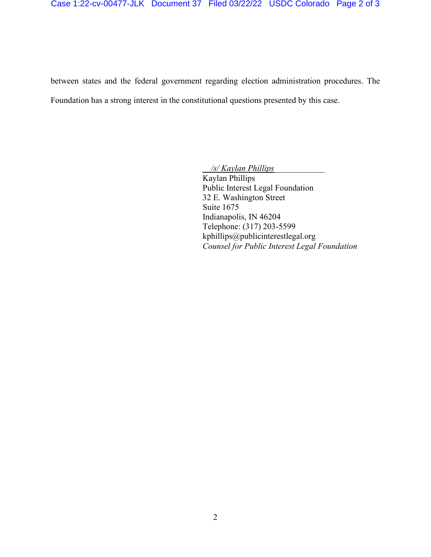between states and the federal government regarding election administration procedures. The Foundation has a strong interest in the constitutional questions presented by this case.

 */s/ Kaylan Phillips\_\_\_\_\_\_\_\_\_\_\_\_* 

 Kaylan Phillips Public Interest Legal Foundation 32 E. Washington Street Suite 1675 Indianapolis, IN 46204 Telephone: (317) 203-5599 kphillips@publicinterestlegal.org *Counsel for Public Interest Legal Foundation*